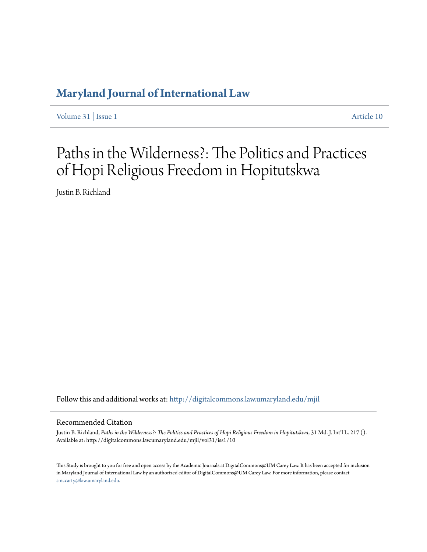## **[Maryland Journal of International Law](http://digitalcommons.law.umaryland.edu/mjil?utm_source=digitalcommons.law.umaryland.edu%2Fmjil%2Fvol31%2Fiss1%2F10&utm_medium=PDF&utm_campaign=PDFCoverPages)**

[Volume 31](http://digitalcommons.law.umaryland.edu/mjil/vol31?utm_source=digitalcommons.law.umaryland.edu%2Fmjil%2Fvol31%2Fiss1%2F10&utm_medium=PDF&utm_campaign=PDFCoverPages) | [Issue 1](http://digitalcommons.law.umaryland.edu/mjil/vol31/iss1?utm_source=digitalcommons.law.umaryland.edu%2Fmjil%2Fvol31%2Fiss1%2F10&utm_medium=PDF&utm_campaign=PDFCoverPages) [Article 10](http://digitalcommons.law.umaryland.edu/mjil/vol31/iss1/10?utm_source=digitalcommons.law.umaryland.edu%2Fmjil%2Fvol31%2Fiss1%2F10&utm_medium=PDF&utm_campaign=PDFCoverPages)

# Paths in the Wilderness?: The Politics and Practices of Hopi Religious Freedom in Hopitutskwa

Justin B. Richland

Follow this and additional works at: [http://digitalcommons.law.umaryland.edu/mjil](http://digitalcommons.law.umaryland.edu/mjil?utm_source=digitalcommons.law.umaryland.edu%2Fmjil%2Fvol31%2Fiss1%2F10&utm_medium=PDF&utm_campaign=PDFCoverPages)

### Recommended Citation

Justin B. Richland, *Paths in the Wilderness?: The Politics and Practices of Hopi Religious Freedom in Hopitutskwa*, 31 Md. J. Int'l L. 217 (). Available at: http://digitalcommons.law.umaryland.edu/mjil/vol31/iss1/10

This Study is brought to you for free and open access by the Academic Journals at DigitalCommons@UM Carey Law. It has been accepted for inclusion in Maryland Journal of International Law by an authorized editor of DigitalCommons@UM Carey Law. For more information, please contact [smccarty@law.umaryland.edu.](mailto:smccarty@law.umaryland.edu)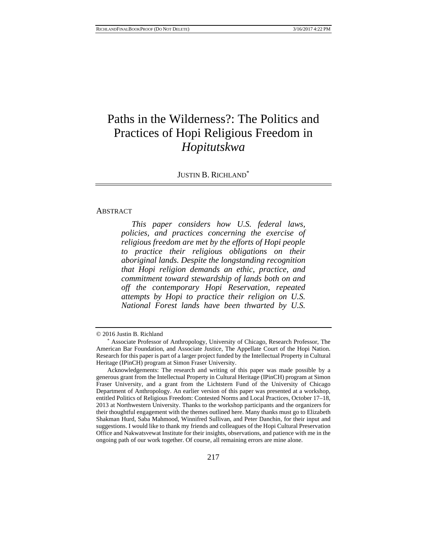# Paths in the Wilderness?: The Politics and Practices of Hopi Religious Freedom in *Hopitutskwa*

JUSTIN B. RICHLAND<sup>\*</sup>

### ABSTRACT

 *This paper considers how U.S. federal laws, policies, and practices concerning the exercise of religious freedom are met by the efforts of Hopi people to practice their religious obligations on their aboriginal lands. Despite the longstanding recognition that Hopi religion demands an ethic, practice, and commitment toward stewardship of lands both on and off the contemporary Hopi Reservation, repeated attempts by Hopi to practice their religion on U.S. National Forest lands have been thwarted by U.S.* 

<sup>© 2016</sup> Justin B. Richland \* Associate Professor of Anthropology, University of Chicago, Research Professor, The American Bar Foundation, and Associate Justice, The Appellate Court of the Hopi Nation. Research for this paper is part of a larger project funded by the Intellectual Property in Cultural Heritage (IPinCH) program at Simon Fraser University.

Acknowledgements: The research and writing of this paper was made possible by a generous grant from the Intellectual Property in Cultural Heritage (IPinCH) program at Simon Fraser University, and a grant from the Lichtstern Fund of the University of Chicago Department of Anthropology. An earlier version of this paper was presented at a workshop, entitled Politics of Religious Freedom: Contested Norms and Local Practices, October 17–18, 2013 at Northwestern University. Thanks to the workshop participants and the organizers for their thoughtful engagement with the themes outlined here. Many thanks must go to Elizabeth Shakman Hurd, Saba Mahmood, Winnifred Sullivan, and Peter Danchin, for their input and suggestions. I would like to thank my friends and colleagues of the Hopi Cultural Preservation Office and Nakwatsvewat Institute for their insights, observations, and patience with me in the ongoing path of our work together. Of course, all remaining errors are mine alone.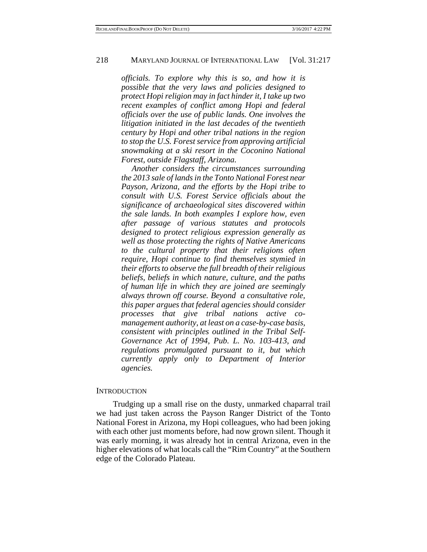*officials. To explore why this is so, and how it is possible that the very laws and policies designed to protect Hopi religion may in fact hinder it, I take up two recent examples of conflict among Hopi and federal officials over the use of public lands. One involves the litigation initiated in the last decades of the twentieth century by Hopi and other tribal nations in the region to stop the U.S. Forest service from approving artificial snowmaking at a ski resort in the Coconino National Forest, outside Flagstaff, Arizona.* 

 *Another considers the circumstances surrounding the 2013 sale of lands in the Tonto National Forest near Payson, Arizona, and the efforts by the Hopi tribe to consult with U.S. Forest Service officials about the significance of archaeological sites discovered within the sale lands. In both examples I explore how, even after passage of various statutes and protocols designed to protect religious expression generally as well as those protecting the rights of Native Americans to the cultural property that their religions often require, Hopi continue to find themselves stymied in their efforts to observe the full breadth of their religious beliefs, beliefs in which nature, culture, and the paths of human life in which they are joined are seemingly always thrown off course. Beyond a consultative role, this paper argues that federal agencies should consider processes that give tribal nations active comanagement authority, at least on a case-by-case basis, consistent with principles outlined in the Tribal Self-Governance Act of 1994, Pub. L. No. 103-413, and regulations promulgated pursuant to it, but which currently apply only to Department of Interior agencies.* 

### **INTRODUCTION**

Trudging up a small rise on the dusty, unmarked chaparral trail we had just taken across the Payson Ranger District of the Tonto National Forest in Arizona, my Hopi colleagues, who had been joking with each other just moments before, had now grown silent. Though it was early morning, it was already hot in central Arizona, even in the higher elevations of what locals call the "Rim Country" at the Southern edge of the Colorado Plateau.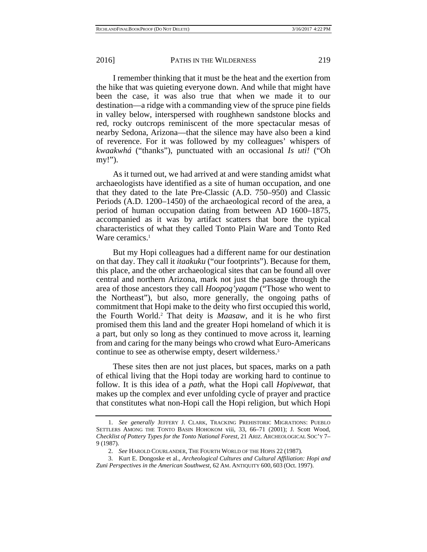I remember thinking that it must be the heat and the exertion from the hike that was quieting everyone down. And while that might have been the case, it was also true that when we made it to our destination—a ridge with a commanding view of the spruce pine fields in valley below, interspersed with roughhewn sandstone blocks and red, rocky outcrops reminiscent of the more spectacular mesas of nearby Sedona, Arizona—that the silence may have also been a kind of reverence. For it was followed by my colleagues' whispers of *kwaakwhá* ("thanks"), punctuated with an occasional *Is uti!* ("Oh my!").

As it turned out, we had arrived at and were standing amidst what archaeologists have identified as a site of human occupation, and one that they dated to the late Pre-Classic (A.D. 750–950) and Classic Periods (A.D. 1200–1450) of the archaeological record of the area, a period of human occupation dating from between AD 1600–1875, accompanied as it was by artifact scatters that bore the typical characteristics of what they called Tonto Plain Ware and Tonto Red Ware ceramics.<sup>1</sup>

But my Hopi colleagues had a different name for our destination on that day. They call it *itaakuku* ("our footprints"). Because for them, this place, and the other archaeological sites that can be found all over central and northern Arizona, mark not just the passage through the area of those ancestors they call *Hoopoq'yaqam* ("Those who went to the Northeast"), but also, more generally, the ongoing paths of commitment that Hopi make to the deity who first occupied this world, the Fourth World.2 That deity is *Maasaw,* and it is he who first promised them this land and the greater Hopi homeland of which it is a part, but only so long as they continued to move across it, learning from and caring for the many beings who crowd what Euro-Americans continue to see as otherwise empty, desert wilderness.3

These sites then are not just places, but spaces, marks on a path of ethical living that the Hopi today are working hard to continue to follow. It is this idea of a *path*, what the Hopi call *Hopivewat*, that makes up the complex and ever unfolding cycle of prayer and practice that constitutes what non-Hopi call the Hopi religion, but which Hopi

 <sup>1.</sup> *See generally* JEFFERY J. CLARK, TRACKING PREHISTORIC MIGRATIONS: PUEBLO SETTLERS AMONG THE TONTO BASIN HOHOKOM viii, 33, 66–71 (2001); J. Scott Wood, *Checklist of Pottery Types for the Tonto National Forest*, 21 ARIZ. ARCHEOLOGICAL SOC'Y 7– 9 (1987).

 <sup>2.</sup> *See* HAROLD COURLANDER, THE FOURTH WORLD OF THE HOPIS 22 (1987).

 <sup>3.</sup> Kurt E. Dongoske et al., *Archeological Cultures and Cultural Affiliation: Hopi and Zuni Perspectives in the American Southwest*, 62 AM. ANTIQUITY 600, 603 (Oct. 1997).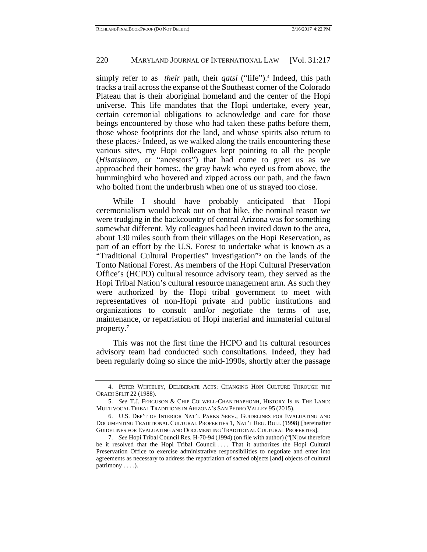simply refer to as *their* path, their *qatsi* ("life").<sup>4</sup> Indeed, this path tracks a trail across the expanse of the Southeast corner of the Colorado Plateau that is their aboriginal homeland and the center of the Hopi universe. This life mandates that the Hopi undertake, every year, certain ceremonial obligations to acknowledge and care for those beings encountered by those who had taken these paths before them, those whose footprints dot the land, and whose spirits also return to these places.<sup>5</sup> Indeed, as we walked along the trails encountering these various sites, my Hopi colleagues kept pointing to all the people (*Hisatsinom*, or "ancestors") that had come to greet us as we approached their homes:, the gray hawk who eyed us from above, the hummingbird who hovered and zipped across our path, and the fawn who bolted from the underbrush when one of us strayed too close.

While I should have probably anticipated that Hopi ceremonialism would break out on that hike, the nominal reason we were trudging in the backcountry of central Arizona was for something somewhat different. My colleagues had been invited down to the area, about 130 miles south from their villages on the Hopi Reservation, as part of an effort by the U.S. Forest to undertake what is known as a "Traditional Cultural Properties" investigation"<sup>6</sup> on the lands of the Tonto National Forest. As members of the Hopi Cultural Preservation Office's (HCPO) cultural resource advisory team, they served as the Hopi Tribal Nation's cultural resource management arm. As such they were authorized by the Hopi tribal government to meet with representatives of non-Hopi private and public institutions and organizations to consult and/or negotiate the terms of use, maintenance, or repatriation of Hopi material and immaterial cultural property.7

This was not the first time the HCPO and its cultural resources advisory team had conducted such consultations. Indeed, they had been regularly doing so since the mid-1990s, shortly after the passage

 <sup>4.</sup> PETER WHITELEY, DELIBERATE ACTS: CHANGING HOPI CULTURE THROUGH THE ORAIBI SPLIT 22 (1988).

 <sup>5.</sup> *See* T.J. FERGUSON & CHIP COLWELL-CHANTHAPHONH, HISTORY IS IN THE LAND: MULTIVOCAL TRIBAL TRADITIONS IN ARIZONA'S SAN PEDRO VALLEY 95 (2015).

 <sup>6.</sup> U.S. DEP'T OF INTERIOR NAT'L PARKS SERV., GUIDELINES FOR EVALUATING AND DOCUMENTING TRADITIONAL CULTURAL PROPERTIES 1, NAT'L REG. BULL (1998) [hereinafter GUIDELINES FOR EVALUATING AND DOCUMENTING TRADITIONAL CULTURAL PROPERTIES].

 <sup>7.</sup> *See* Hopi Tribal Council Res. H-70-94 (1994) (on file with author) ("[N]ow therefore be it resolved that the Hopi Tribal Council .... That it authorizes the Hopi Cultural Preservation Office to exercise administrative responsibilities to negotiate and enter into agreements as necessary to address the repatriation of sacred objects [and] objects of cultural patrimony . . . .).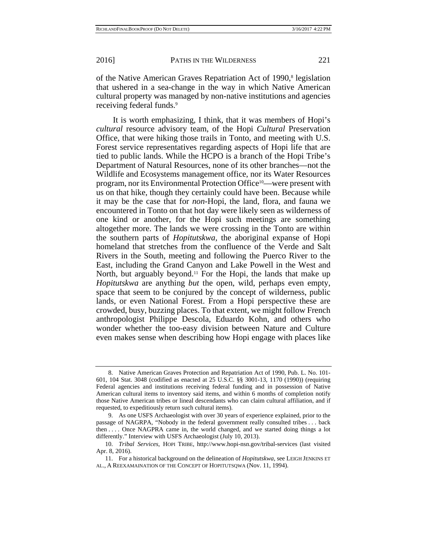of the Native American Graves Repatriation Act of 1990,<sup>8</sup> legislation that ushered in a sea-change in the way in which Native American cultural property was managed by non-native institutions and agencies receiving federal funds.<sup>9</sup>

It is worth emphasizing, I think, that it was members of Hopi's *cultural* resource advisory team, of the Hopi *Cultural* Preservation Office, that were hiking those trails in Tonto, and meeting with U.S. Forest service representatives regarding aspects of Hopi life that are tied to public lands. While the HCPO is a branch of the Hopi Tribe's Department of Natural Resources, none of its other branches—not the Wildlife and Ecosystems management office, nor its Water Resources program, nor its Environmental Protection Office10—were present with us on that hike, though they certainly could have been. Because while it may be the case that for *non-*Hopi, the land, flora, and fauna we encountered in Tonto on that hot day were likely seen as wilderness of one kind or another, for the Hopi such meetings are something altogether more. The lands we were crossing in the Tonto are within the southern parts of *Hopitutskwa,* the aboriginal expanse of Hopi homeland that stretches from the confluence of the Verde and Salt Rivers in the South, meeting and following the Puerco River to the East, including the Grand Canyon and Lake Powell in the West and North, but arguably beyond.<sup>11</sup> For the Hopi, the lands that make up *Hopitutskwa* are anything *but* the open, wild, perhaps even empty, space that seem to be conjured by the concept of wilderness, public lands, or even National Forest. From a Hopi perspective these are crowded, busy, buzzing places. To that extent, we might follow French anthropologist Philippe Descola, Eduardo Kohn, and others who wonder whether the too-easy division between Nature and Culture even makes sense when describing how Hopi engage with places like

 <sup>8.</sup> Native American Graves Protection and Repatriation Act of 1990, Pub. L. No. 101- 601, 104 Stat. 3048 (codified as enacted at 25 U.S.C. §§ 3001-13, 1170 (1990)) (requiring Federal agencies and institutions receiving federal funding and in possession of Native American cultural items to inventory said items, and within 6 months of completion notify those Native American tribes or lineal descendants who can claim cultural affiliation, and if requested, to expeditiously return such cultural items).

 <sup>9.</sup> As one USFS Archaeologist with over 30 years of experience explained, prior to the passage of NAGRPA, "Nobody in the federal government really consulted tribes . . . back then . . . . Once NAGPRA came in, the world changed, and we started doing things a lot differently." Interview with USFS Archaeologist (July 10, 2013).

 <sup>10.</sup> *Tribal Services*, HOPI TRIBE, http://www.hopi-nsn.gov/tribal-services (last visited Apr. 8, 2016).

 <sup>11.</sup> For a historical background on the delineation of *Hopitutskwa*, see LEIGH JENKINS ET AL., A REEXAMAINATION OF THE CONCEPT OF HOPITUTSQWA (Nov. 11, 1994).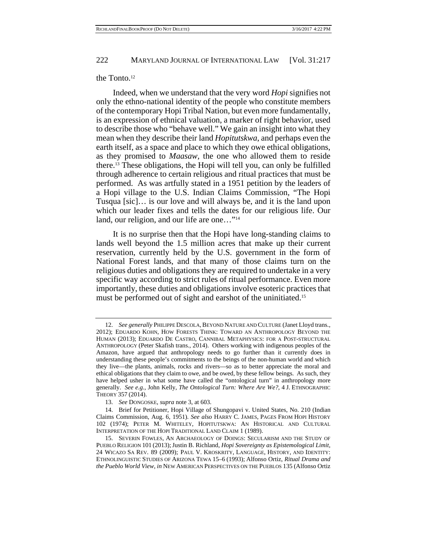### the Tonto.<sup>12</sup>

Indeed, when we understand that the very word *Hopi* signifies not only the ethno-national identity of the people who constitute members of the contemporary Hopi Tribal Nation, but even more fundamentally, is an expression of ethnical valuation, a marker of right behavior, used to describe those who "behave well." We gain an insight into what they mean when they describe their land *Hopitutskwa*, and perhaps even the earth itself, as a space and place to which they owe ethical obligations, as they promised to *Maasaw,* the one who allowed them to reside there.13 These obligations, the Hopi will tell you, can only be fulfilled through adherence to certain religious and ritual practices that must be performed. As was artfully stated in a 1951 petition by the leaders of a Hopi village to the U.S. Indian Claims Commission, "The Hopi Tusqua [sic]… is our love and will always be, and it is the land upon which our leader fixes and tells the dates for our religious life. Our land, our religion, and our life are one..."<sup>14</sup>

It is no surprise then that the Hopi have long-standing claims to lands well beyond the 1.5 million acres that make up their current reservation, currently held by the U.S. government in the form of National Forest lands, and that many of those claims turn on the religious duties and obligations they are required to undertake in a very specific way according to strict rules of ritual performance. Even more importantly, these duties and obligations involve esoteric practices that must be performed out of sight and earshot of the uninitiated.<sup>15</sup>

<sup>12.</sup> *See generally PHILIPPE DESCOLA, BEYOND NATURE AND CULTURE (Janet Lloyd trans.,* 2012); EDUARDO KOHN, HOW FORESTS THINK: TOWARD AN ANTHROPOLOGY BEYOND THE HUMAN (2013); EDUARDO DE CASTRO, CANNIBAL METAPHYSICS: FOR A POST-STRUCTURAL ANTHROPOLOGY (Peter Skafish trans., 2014). Others working with indigenous peoples of the Amazon, have argued that anthropology needs to go further than it currently does in understanding these people's commitments to the beings of the non-human world and which they live—the plants, animals, rocks and rivers—so as to better appreciate the moral and ethical obligations that they claim to owe, and be owed, by these fellow beings. As such, they have helped usher in what some have called the "ontological turn" in anthropology more generally. *See e.g.,* John Kelly, *The Ontological Turn: Where Are We?*, 4 J. ETHNOGRAPHIC THEORY 357 (2014).

 <sup>13.</sup> *See* DONGOSKE, *supra* note 3, at 603.

 <sup>14.</sup> Brief for Petitioner, Hopi Village of Shungopavi v. United States, No. 210 (Indian Claims Commission, Aug. 6, 1951). *See also* HARRY C. JAMES, PAGES FROM HOPI HISTORY 102 (1974); PETER M. WHITELEY, HOPITUTSKWA: AN HISTORICAL AND CULTURAL INTERPRETATION OF THE HOPI TRADITIONAL LAND CLAIM 1 (1989).

 <sup>15.</sup> SEVERIN FOWLES, AN ARCHAEOLOGY OF DOINGS: SECULARISM AND THE STUDY OF PUEBLO RELIGION 101 (2013); Justin B. Richland, *Hopi Sovereignty as Epistemological Limit*, 24 WICAZO SA REV. 89 (2009); PAUL V. KROSKRITY, LANGUAGE, HISTORY, AND IDENTITY: ETHNOLINGUISTIC STUDIES OF ARIZONA TEWA 15–6 (1993); Alfonso Ortiz, *Ritual Drama and the Pueblo World View*, *in* NEW AMERICAN PERSPECTIVES ON THE PUEBLOS 135 (Alfonso Ortiz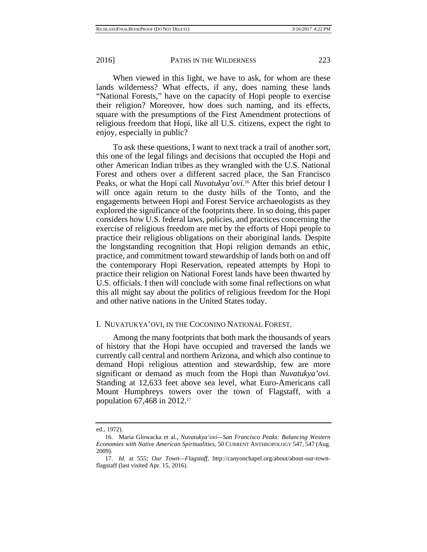When viewed in this light, we have to ask, for whom are these lands wilderness? What effects, if any, does naming these lands "National Forests," have on the capacity of Hopi people to exercise their religion? Moreover, how does such naming, and its effects, square with the presumptions of the First Amendment protections of religious freedom that Hopi, like all U.S. citizens, expect the right to enjoy, especially in public?

To ask these questions, I want to next track a trail of another sort, this one of the legal filings and decisions that occupied the Hopi and other American Indian tribes as they wrangled with the U.S. National Forest and others over a different sacred place, the San Francisco Peaks, or what the Hopi call *Nuvatukya'ovi*.<sup>16</sup> After this brief detour I will once again return to the dusty hills of the Tonto, and the engagements between Hopi and Forest Service archaeologists as they explored the significance of the footprints there. In so doing, this paper considers how U.S. federal laws, policies, and practices concerning the exercise of religious freedom are met by the efforts of Hopi people to practice their religious obligations on their aboriginal lands*.* Despite the longstanding recognition that Hopi religion demands an ethic, practice, and commitment toward stewardship of lands both on and off the contemporary Hopi Reservation, repeated attempts by Hopi to practice their religion on National Forest lands have been thwarted by U.S. officials. I then will conclude with some final reflections on what this all might say about the politics of religious freedom for the Hopi and other native nations in the United States today.

### I. NUVATUKYA'OVI, IN THE COCONINO NATIONAL FOREST.

Among the many footprints that both mark the thousands of years of history that the Hopi have occupied and traversed the lands we currently call central and northern Arizona, and which also continue to demand Hopi religious attention and stewardship, few are more significant or demand as much from the Hopi than *Nuvatukya'ovi.*  Standing at 12,633 feet above sea level, what Euro-Americans call Mount Humphreys towers over the town of Flagstaff, with a population 67,468 in 2012.17

ed., 1972).

 <sup>16.</sup> Maria Glowacka et al., *Nuvatukya'ovi—San Francisco Peaks: Balancing Western Economies with Native American Spiritualities*, 50 CURRENT ANTHROPOLOGY 547, 547 (Aug. 2009).

 <sup>17.</sup> *Id.* at 555; *Our Town—Flagstaff*, http://canyonchapel.org/about/about-our-townflagstaff (last visited Apr. 15, 2016).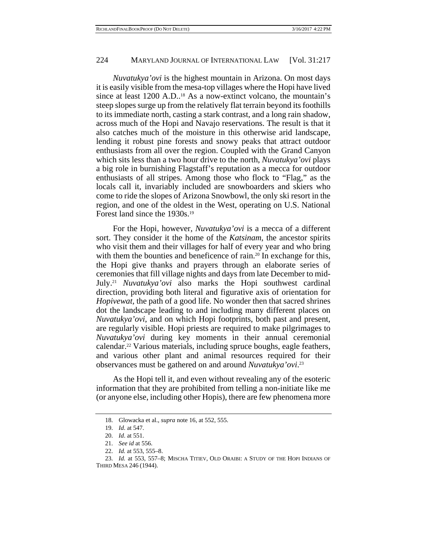*Nuvatukya'ovi* is the highest mountain in Arizona. On most days it is easily visible from the mesa-top villages where the Hopi have lived since at least 1200 A.D.<sup>18</sup> As a now-extinct volcano, the mountain's steep slopes surge up from the relatively flat terrain beyond its foothills to its immediate north, casting a stark contrast, and a long rain shadow, across much of the Hopi and Navajo reservations. The result is that it also catches much of the moisture in this otherwise arid landscape, lending it robust pine forests and snowy peaks that attract outdoor enthusiasts from all over the region. Coupled with the Grand Canyon which sits less than a two hour drive to the north, *Nuvatukya'ovi* plays a big role in burnishing Flagstaff's reputation as a mecca for outdoor enthusiasts of all stripes. Among those who flock to "Flag," as the locals call it, invariably included are snowboarders and skiers who come to ride the slopes of Arizona Snowbowl, the only ski resort in the region, and one of the oldest in the West, operating on U.S. National Forest land since the 1930s.19

For the Hopi, however, *Nuvatukya'ovi* is a mecca of a different sort. They consider it the home of the *Katsinam*, the ancestor spirits who visit them and their villages for half of every year and who bring with them the bounties and beneficence of rain.<sup>20</sup> In exchange for this, the Hopi give thanks and prayers through an elaborate series of ceremonies that fill village nights and days from late December to mid-July.21 *Nuvatukya'ovi* also marks the Hopi southwest cardinal direction, providing both literal and figurative axis of orientation for *Hopivewat,* the path of a good life. No wonder then that sacred shrines dot the landscape leading to and including many different places on *Nuvatukya'ovi*, and on which Hopi footprints, both past and present, are regularly visible. Hopi priests are required to make pilgrimages to *Nuvatukya'ovi* during key moments in their annual ceremonial calendar.22 Various materials, including spruce boughs, eagle feathers, and various other plant and animal resources required for their observances must be gathered on and around *Nuvatukya'ovi*. 23

As the Hopi tell it, and even without revealing any of the esoteric information that they are prohibited from telling a non-initiate like me (or anyone else, including other Hopis), there are few phenomena more

 <sup>18.</sup> Glowacka et al., *supra* note 16, at 552, 555.

 <sup>19.</sup> *Id*. at 547.

 <sup>20.</sup> *Id*. at 551.

 <sup>21.</sup> *See id* at 556.

 <sup>22.</sup> *Id.* at 553, 555–8.

 <sup>23.</sup> *Id.* at 553, 557–8; MISCHA TITIEV, OLD ORAIBI: A STUDY OF THE HOPI INDIANS OF THIRD MESA 246 (1944).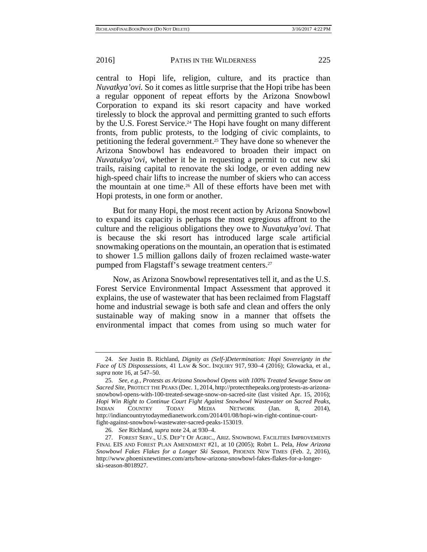central to Hopi life, religion, culture, and its practice than *Nuvatkya'ovi.* So it comes as little surprise that the Hopi tribe has been a regular opponent of repeat efforts by the Arizona Snowbowl Corporation to expand its ski resort capacity and have worked tirelessly to block the approval and permitting granted to such efforts by the U.S. Forest Service.<sup>24</sup> The Hopi have fought on many different fronts, from public protests, to the lodging of civic complaints, to petitioning the federal government.25 They have done so whenever the Arizona Snowbowl has endeavored to broaden their impact on *Nuvatukya'ovi,* whether it be in requesting a permit to cut new ski trails, raising capital to renovate the ski lodge, or even adding new high-speed chair lifts to increase the number of skiers who can access the mountain at one time.26 All of these efforts have been met with Hopi protests, in one form or another.

But for many Hopi, the most recent action by Arizona Snowbowl to expand its capacity is perhaps the most egregious affront to the culture and the religious obligations they owe to *Nuvatukya'ovi.* That is because the ski resort has introduced large scale artificial snowmaking operations on the mountain, an operation that is estimated to shower 1.5 million gallons daily of frozen reclaimed waste-water pumped from Flagstaff's sewage treatment centers.27

Now, as Arizona Snowbowl representatives tell it, and as the U.S. Forest Service Environmental Impact Assessment that approved it explains, the use of wastewater that has been reclaimed from Flagstaff home and industrial sewage is both safe and clean and offers the only sustainable way of making snow in a manner that offsets the environmental impact that comes from using so much water for

 <sup>24.</sup> *See* Justin B. Richland, *Dignity as (Self-)Determination: Hopi Sovereignty in the Face of US Dispossessions*, 41 LAW & SOC. INQUIRY 917, 930–4 (2016); Glowacka, et al., *supra* note 16, at 547–50.

 <sup>25.</sup> *See, e.g.*, *Protests as Arizona Snowbowl Opens with 100% Treated Sewage Snow on Sacred Site*, PROTECT THE PEAKS (Dec. 1, 2014, http://protectthepeaks.org/protests-as-arizonasnowbowl-opens-with-100-treated-sewage-snow-on-sacred-site (last visited Apr. 15, 2016); *Hopi Win Right to Continue Court Fight Against Snowbowl Wastewater on Sacred Peaks*, INDIAN COUNTRY TODAY MEDIA NETWORK (Jan. 8, 2014), http://indiancountrytodaymedianetwork.com/2014/01/08/hopi-win-right-continue-courtfight-against-snowbowl-wastewater-sacred-peaks-153019.

 <sup>26.</sup> *See* Richland, *supra* note 24, at 930–4.

 <sup>27.</sup> FOREST SERV., U.S. DEP'T OF AGRIC., ARIZ. SNOWBOWL FACILITIES IMPROVEMENTS FINAL EIS AND FOREST PLAN AMENDMENT #21, at 10 (2005); Robrt L. Pela, *How Arizona Snowbowl Fakes Flakes for a Longer Ski Season*, PHOENIX NEW TIMES (Feb. 2, 2016), http://www.phoenixnewtimes.com/arts/how-arizona-snowbowl-fakes-flakes-for-a-longerski-season-8018927.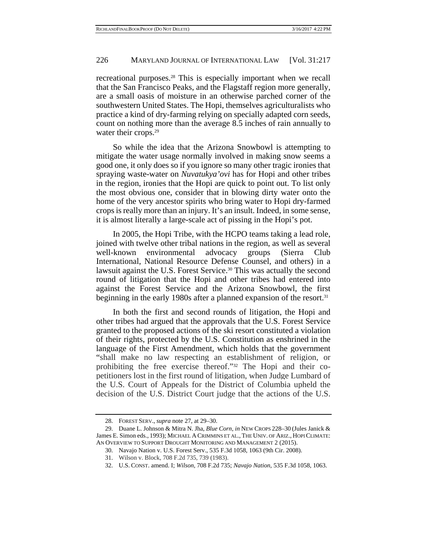recreational purposes.28 This is especially important when we recall that the San Francisco Peaks, and the Flagstaff region more generally, are a small oasis of moisture in an otherwise parched corner of the southwestern United States. The Hopi, themselves agriculturalists who practice a kind of dry-farming relying on specially adapted corn seeds, count on nothing more than the average 8.5 inches of rain annually to water their crops.<sup>29</sup>

So while the idea that the Arizona Snowbowl is attempting to mitigate the water usage normally involved in making snow seems a good one, it only does so if you ignore so many other tragic ironies that spraying waste-water on *Nuvatukya'ovi* has for Hopi and other tribes in the region, ironies that the Hopi are quick to point out. To list only the most obvious one, consider that in blowing dirty water onto the home of the very ancestor spirits who bring water to Hopi dry-farmed crops is really more than an injury. It's an insult. Indeed, in some sense, it is almost literally a large-scale act of pissing in the Hopi's pot.

In 2005, the Hopi Tribe, with the HCPO teams taking a lead role, joined with twelve other tribal nations in the region, as well as several well-known environmental advocacy groups (Sierra Club International, National Resource Defense Counsel, and others) in a lawsuit against the U.S. Forest Service.<sup>30</sup> This was actually the second round of litigation that the Hopi and other tribes had entered into against the Forest Service and the Arizona Snowbowl, the first beginning in the early 1980s after a planned expansion of the resort.<sup>31</sup>

In both the first and second rounds of litigation, the Hopi and other tribes had argued that the approvals that the U.S. Forest Service granted to the proposed actions of the ski resort constituted a violation of their rights, protected by the U.S. Constitution as enshrined in the language of the First Amendment, which holds that the government "shall make no law respecting an establishment of religion, or prohibiting the free exercise thereof."32 The Hopi and their copetitioners lost in the first round of litigation, when Judge Lumbard of the U.S. Court of Appeals for the District of Columbia upheld the decision of the U.S. District Court judge that the actions of the U.S.

 <sup>28.</sup> FOREST SERV., *supra* note 27, at 29–30.

 <sup>29.</sup> Duane L. Johnson & Mitra N. Jha, *Blue Corn*, *in* NEW CROPS 228–30 (Jules Janick & James E. Simon eds., 1993); MICHAEL A CRIMMINS ET AL., THE UNIV. OF ARIZ., HOPI CLIMATE: AN OVERVIEW TO SUPPORT DROUGHT MONITORING AND MANAGEMENT 2 (2015).

 <sup>30.</sup> Navajo Nation v. U.S. Forest Serv., 535 F.3d 1058, 1063 (9th Cir. 2008).

 <sup>31.</sup> Wilson v. Block, 708 F.2d 735, 739 (1983).

 <sup>32.</sup> U.S. CONST. amend. I; *Wilson*, 708 F.2d 735; *Navajo Nation*, 535 F.3d 1058, 1063.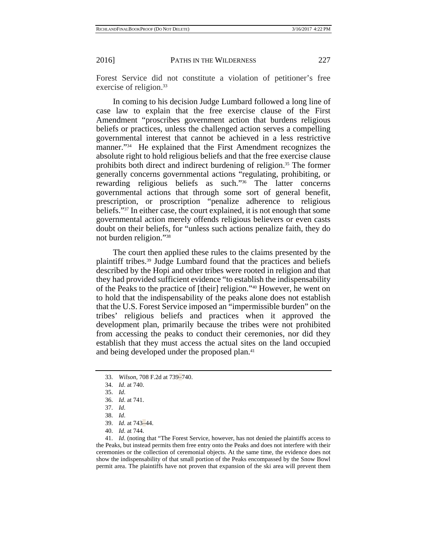Forest Service did not constitute a violation of petitioner's free exercise of religion.<sup>33</sup>

In coming to his decision Judge Lumbard followed a long line of case law to explain that the free exercise clause of the First Amendment "proscribes government action that burdens religious beliefs or practices, unless the challenged action serves a compelling governmental interest that cannot be achieved in a less restrictive manner."<sup>34</sup> He explained that the First Amendment recognizes the absolute right to hold religious beliefs and that the free exercise clause prohibits both direct and indirect burdening of religion.35 The former generally concerns governmental actions "regulating, prohibiting, or rewarding religious beliefs as such."36 The latter concerns governmental actions that through some sort of general benefit, prescription, or proscription "penalize adherence to religious beliefs."37 In either case, the court explained, it is not enough that some governmental action merely offends religious believers or even casts doubt on their beliefs, for "unless such actions penalize faith, they do not burden religion."38

The court then applied these rules to the claims presented by the plaintiff tribes.39 Judge Lumbard found that the practices and beliefs described by the Hopi and other tribes were rooted in religion and that they had provided sufficient evidence "to establish the indispensability of the Peaks to the practice of [their] religion."40 However, he went on to hold that the indispensability of the peaks alone does not establish that the U.S. Forest Service imposed an "impermissible burden" on the tribes' religious beliefs and practices when it approved the development plan, primarily because the tribes were not prohibited from accessing the peaks to conduct their ceremonies, nor did they establish that they must access the actual sites on the land occupied and being developed under the proposed plan.<sup>41</sup>

 <sup>33.</sup> *Wilson*, 708 F.2d at 739–740.

 <sup>34.</sup> *Id*. at 740.

 <sup>35.</sup> *Id*.

 <sup>36.</sup> *Id*. at 741.

 <sup>37.</sup> *Id*.

 <sup>38.</sup> *Id*.

 <sup>39.</sup> *Id*. at 743–44.

 <sup>40.</sup> *Id*. at 744.

 <sup>41.</sup> *Id*. (noting that "The Forest Service, however, has not denied the plaintiffs access to the Peaks, but instead permits them free entry onto the Peaks and does not interfere with their ceremonies or the collection of ceremonial objects. At the same time, the evidence does not show the indispensability of that small portion of the Peaks encompassed by the Snow Bowl permit area. The plaintiffs have not proven that expansion of the ski area will prevent them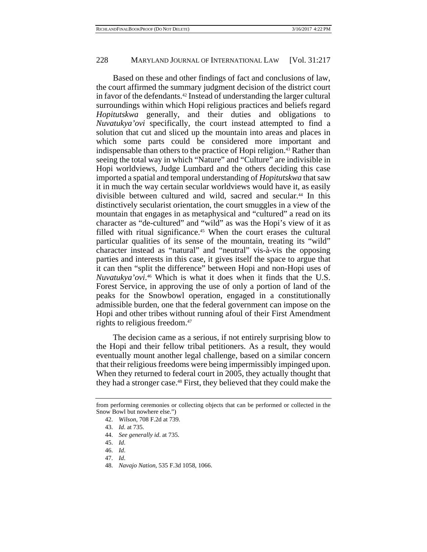Based on these and other findings of fact and conclusions of law, the court affirmed the summary judgment decision of the district court in favor of the defendants.42 Instead of understanding the larger cultural surroundings within which Hopi religious practices and beliefs regard *Hopitutskwa* generally, and their duties and obligations to *Nuvatukya'ovi* specifically, the court instead attempted to find a solution that cut and sliced up the mountain into areas and places in which some parts could be considered more important and indispensable than others to the practice of Hopi religion.43 Rather than seeing the total way in which "Nature" and "Culture" are indivisible in Hopi worldviews, Judge Lumbard and the others deciding this case imported a spatial and temporal understanding of *Hopitutskwa* that saw it in much the way certain secular worldviews would have it, as easily divisible between cultured and wild, sacred and secular.44 In this distinctively secularist orientation, the court smuggles in a view of the mountain that engages in as metaphysical and "cultured" a read on its character as "de-cultured" and "wild" as was the Hopi's view of it as filled with ritual significance.<sup>45</sup> When the court erases the cultural particular qualities of its sense of the mountain, treating its "wild" character instead as "natural" and "neutral" vis-à-vis the opposing parties and interests in this case, it gives itself the space to argue that it can then "split the difference" between Hopi and non-Hopi uses of *Nuvatukya'ovi*. 46 Which is what it does when it finds that the U.S. Forest Service, in approving the use of only a portion of land of the peaks for the Snowbowl operation, engaged in a constitutionally admissible burden, one that the federal government can impose on the Hopi and other tribes without running afoul of their First Amendment rights to religious freedom.47

The decision came as a serious, if not entirely surprising blow to the Hopi and their fellow tribal petitioners. As a result, they would eventually mount another legal challenge, based on a similar concern that their religious freedoms were being impermissibly impinged upon. When they returned to federal court in 2005, they actually thought that they had a stronger case.48 First, they believed that they could make the

- 47. *Id*.
- 48. *Navajo Nation*, 535 F.3d 1058, 1066.

from performing ceremonies or collecting objects that can be performed or collected in the Snow Bowl but nowhere else.")

 <sup>42.</sup> *Wilson*, 708 F.2d at 739.

 <sup>43.</sup> *Id*. at 735.

 <sup>44.</sup> *See generally id*. at 735.

 <sup>45.</sup> *Id*.

 <sup>46.</sup> *Id*.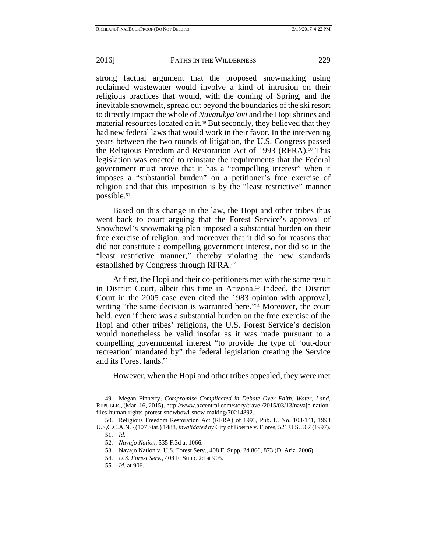strong factual argument that the proposed snowmaking using reclaimed wastewater would involve a kind of intrusion on their religious practices that would, with the coming of Spring, and the inevitable snowmelt, spread out beyond the boundaries of the ski resort to directly impact the whole of *Nuvatukya'ovi* and the Hopi shrines and material resources located on it.<sup>49</sup> But secondly, they believed that they had new federal laws that would work in their favor. In the intervening years between the two rounds of litigation, the U.S. Congress passed the Religious Freedom and Restoration Act of 1993 (RFRA).50 This legislation was enacted to reinstate the requirements that the Federal government must prove that it has a "compelling interest" when it imposes a "substantial burden" on a petitioner's free exercise of religion and that this imposition is by the "least restrictive" manner possible.<sup>51</sup>

Based on this change in the law, the Hopi and other tribes thus went back to court arguing that the Forest Service's approval of Snowbowl's snowmaking plan imposed a substantial burden on their free exercise of religion, and moreover that it did so for reasons that did not constitute a compelling government interest, nor did so in the "least restrictive manner," thereby violating the new standards established by Congress through RFRA.52

At first, the Hopi and their co-petitioners met with the same result in District Court, albeit this time in Arizona.53 Indeed, the District Court in the 2005 case even cited the 1983 opinion with approval, writing "the same decision is warranted here."54 Moreover, the court held, even if there was a substantial burden on the free exercise of the Hopi and other tribes' religions, the U.S. Forest Service's decision would nonetheless be valid insofar as it was made pursuant to a compelling governmental interest "to provide the type of 'out-door recreation' mandated by" the federal legislation creating the Service and its Forest lands.<sup>55</sup>

However, when the Hopi and other tribes appealed, they were met

 <sup>49.</sup> Megan Finnerty, *Compromise Complicated in Debate Over Faith, Water, Land*, REPUBLIC, (Mar. 16, 2015), http://www.azcentral.com/story/travel/2015/03/13/navajo-nationfiles-human-rights-protest-snowbowl-snow-making/70214892.

 <sup>50.</sup> Religious Freedom Restoration Act (RFRA) of 1993, Pub. L. No. 103-141, 1993 U.S,C.C.A.N. {(107 Stat.) 1488, *invalidated by* City of Boerne v. Flores, 521 U.S. 507 (1997).

 <sup>51.</sup> *Id*.

 <sup>52.</sup> *Navajo Nation*, 535 F.3d at 1066.

 <sup>53.</sup> Navajo Nation v. U.S. Forest Serv., 408 F. Supp. 2d 866, 873 (D. Ariz. 2006).

 <sup>54.</sup> *U.S. Forest Serv.*, 408 F. Supp. 2d at 905.

 <sup>55.</sup> *Id*. at 906.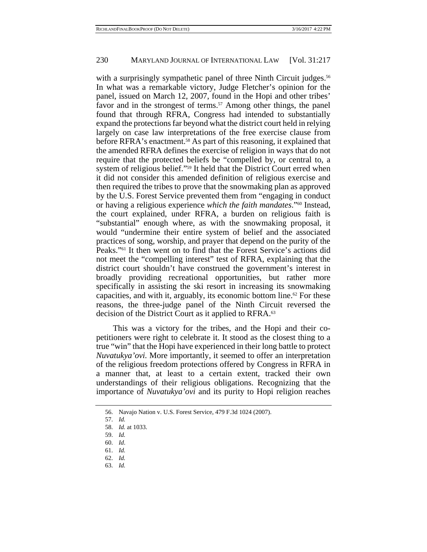with a surprisingly sympathetic panel of three Ninth Circuit judges.<sup>56</sup> In what was a remarkable victory, Judge Fletcher's opinion for the panel, issued on March 12, 2007, found in the Hopi and other tribes' favor and in the strongest of terms.<sup>57</sup> Among other things, the panel found that through RFRA, Congress had intended to substantially expand the protections far beyond what the district court held in relying largely on case law interpretations of the free exercise clause from before RFRA's enactment.<sup>58</sup> As part of this reasoning, it explained that the amended RFRA defines the exercise of religion in ways that do not require that the protected beliefs be "compelled by, or central to, a system of religious belief."59 It held that the District Court erred when it did not consider this amended definition of religious exercise and then required the tribes to prove that the snowmaking plan as approved by the U.S. Forest Service prevented them from "engaging in conduct or having a religious experience *which the faith mandates*."60 Instead, the court explained, under RFRA, a burden on religious faith is "substantial" enough where, as with the snowmaking proposal, it would "undermine their entire system of belief and the associated practices of song, worship, and prayer that depend on the purity of the Peaks."61 It then went on to find that the Forest Service's actions did not meet the "compelling interest" test of RFRA, explaining that the district court shouldn't have construed the government's interest in broadly providing recreational opportunities, but rather more specifically in assisting the ski resort in increasing its snowmaking capacities, and with it, arguably, its economic bottom line.62 For these reasons, the three-judge panel of the Ninth Circuit reversed the decision of the District Court as it applied to RFRA.63

This was a victory for the tribes, and the Hopi and their copetitioners were right to celebrate it. It stood as the closest thing to a true "win" that the Hopi have experienced in their long battle to protect *Nuvatukya'ovi.* More importantly, it seemed to offer an interpretation of the religious freedom protections offered by Congress in RFRA in a manner that, at least to a certain extent, tracked their own understandings of their religious obligations. Recognizing that the importance of *Nuvatukya'ovi* and its purity to Hopi religion reaches

63. *Id.*

 <sup>56.</sup> Navajo Nation v. U.S. Forest Service, 479 F.3d 1024 (2007).

 <sup>57.</sup> *Id.*

 <sup>58.</sup> *Id.* at 1033.

 <sup>59.</sup> *Id.*

 <sup>60.</sup> *Id*.

 <sup>61.</sup> *Id.*

 <sup>62.</sup> *Id.*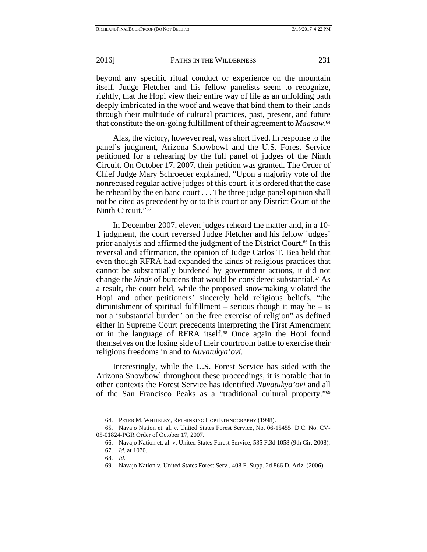beyond any specific ritual conduct or experience on the mountain itself, Judge Fletcher and his fellow panelists seem to recognize, rightly, that the Hopi view their entire way of life as an unfolding path deeply imbricated in the woof and weave that bind them to their lands through their multitude of cultural practices, past, present, and future that constitute the on-going fulfillment of their agreement to *Maasaw*. 64

Alas, the victory, however real, was short lived. In response to the panel's judgment, Arizona Snowbowl and the U.S. Forest Service petitioned for a rehearing by the full panel of judges of the Ninth Circuit. On October 17, 2007, their petition was granted. The Order of Chief Judge Mary Schroeder explained, "Upon a majority vote of the nonrecused regular active judges of this court, it is ordered that the case be reheard by the en banc court . . . The three judge panel opinion shall not be cited as precedent by or to this court or any District Court of the Ninth Circuit."<sup>65</sup>

In December 2007, eleven judges reheard the matter and, in a 10- 1 judgment, the court reversed Judge Fletcher and his fellow judges' prior analysis and affirmed the judgment of the District Court.66 In this reversal and affirmation, the opinion of Judge Carlos T. Bea held that even though RFRA had expanded the kinds of religious practices that cannot be substantially burdened by government actions, it did not change the *kinds* of burdens that would be considered substantial.<sup>67</sup> As a result, the court held, while the proposed snowmaking violated the Hopi and other petitioners' sincerely held religious beliefs, "the diminishment of spiritual fulfillment – serious though it may be – is not a 'substantial burden' on the free exercise of religion" as defined either in Supreme Court precedents interpreting the First Amendment or in the language of RFRA itself.68 Once again the Hopi found themselves on the losing side of their courtroom battle to exercise their religious freedoms in and to *Nuvatukya'ovi.* 

Interestingly, while the U.S. Forest Service has sided with the Arizona Snowbowl throughout these proceedings, it is notable that in other contexts the Forest Service has identified *Nuvatukya'ovi* and all of the San Francisco Peaks as a "traditional cultural property."69

 <sup>64.</sup> PETER M. WHITELEY, RETHINKING HOPI ETHNOGRAPHY (1998).

 <sup>65.</sup> Navajo Nation et. al. v. United States Forest Service, No. 06-15455 D.C. No. CV-05-01824-PGR Order of October 17, 2007.

 <sup>66.</sup> Navajo Nation et. al. v. United States Forest Service, 535 F.3d 1058 (9th Cir. 2008). 67. *Id.* at 1070.

 <sup>68.</sup> *Id.*

 <sup>69.</sup> Navajo Nation v. United States Forest Serv., 408 F. Supp. 2d 866 D. Ariz. (2006).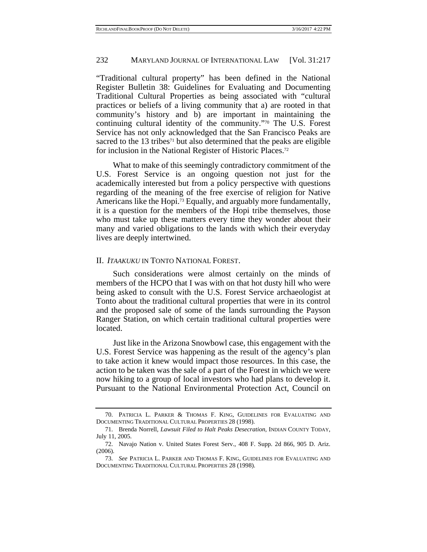"Traditional cultural property" has been defined in the National Register Bulletin 38: Guidelines for Evaluating and Documenting Traditional Cultural Properties as being associated with "cultural practices or beliefs of a living community that a) are rooted in that community's history and b) are important in maintaining the continuing cultural identity of the community."70 The U.S. Forest Service has not only acknowledged that the San Francisco Peaks are sacred to the  $13$  tribes<sup> $71$ </sup> but also determined that the peaks are eligible for inclusion in the National Register of Historic Places.72

What to make of this seemingly contradictory commitment of the U.S. Forest Service is an ongoing question not just for the academically interested but from a policy perspective with questions regarding of the meaning of the free exercise of religion for Native Americans like the Hopi.73 Equally, and arguably more fundamentally, it is a question for the members of the Hopi tribe themselves, those who must take up these matters every time they wonder about their many and varied obligations to the lands with which their everyday lives are deeply intertwined.

### II. *ITAAKUKU* IN TONTO NATIONAL FOREST.

Such considerations were almost certainly on the minds of members of the HCPO that I was with on that hot dusty hill who were being asked to consult with the U.S. Forest Service archaeologist at Tonto about the traditional cultural properties that were in its control and the proposed sale of some of the lands surrounding the Payson Ranger Station, on which certain traditional cultural properties were located.

Just like in the Arizona Snowbowl case, this engagement with the U.S. Forest Service was happening as the result of the agency's plan to take action it knew would impact those resources. In this case, the action to be taken was the sale of a part of the Forest in which we were now hiking to a group of local investors who had plans to develop it. Pursuant to the National Environmental Protection Act, Council on

 <sup>70.</sup> PATRICIA L. PARKER & THOMAS F. KING, GUIDELINES FOR EVALUATING AND DOCUMENTING TRADITIONAL CULTURAL PROPERTIES 28 (1998).

 <sup>71.</sup> Brenda Norrell, *Lawsuit Filed to Halt Peaks Desecration*, INDIAN COUNTY TODAY, July 11, 2005.

 <sup>72.</sup> Navajo Nation v. United States Forest Serv., 408 F. Supp. 2d 866, 905 D. Ariz. (2006).

 <sup>73.</sup> *See* PATRICIA L. PARKER AND THOMAS F. KING, GUIDELINES FOR EVALUATING AND DOCUMENTING TRADITIONAL CULTURAL PROPERTIES 28 (1998).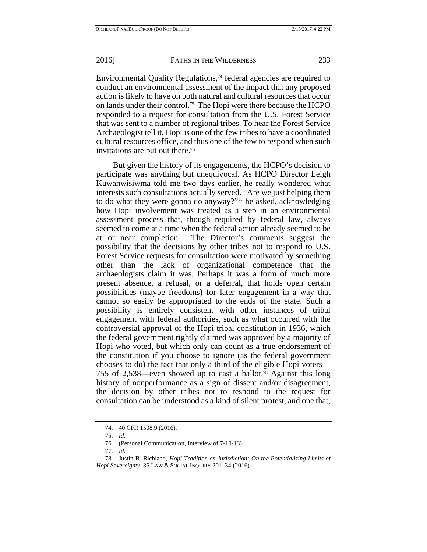Environmental Quality Regulations,<sup> $74$ </sup> federal agencies are required to conduct an environmental assessment of the impact that any proposed action is likely to have on both natural and cultural resources that occur on lands under their control.75 The Hopi were there because the HCPO responded to a request for consultation from the U.S. Forest Service that was sent to a number of regional tribes. To hear the Forest Service Archaeologist tell it, Hopi is one of the few tribes to have a coordinated cultural resources office, and thus one of the few to respond when such invitations are put out there.<sup>76</sup>

But given the history of its engagements, the HCPO's decision to participate was anything but unequivocal. As HCPO Director Leigh Kuwanwisiwma told me two days earlier, he really wondered what interests such consultations actually served. "Are we just helping them to do what they were gonna do anyway?"<sup>77</sup> he asked, acknowledging how Hopi involvement was treated as a step in an environmental assessment process that, though required by federal law, always seemed to come at a time when the federal action already seemed to be at or near completion. The Director's comments suggest the possibility that the decisions by other tribes not to respond to U.S. Forest Service requests for consultation were motivated by something other than the lack of organizational competence that the archaeologists claim it was. Perhaps it was a form of much more present absence, a refusal, or a deferral, that holds open certain possibilities (maybe freedoms) for later engagement in a way that cannot so easily be appropriated to the ends of the state. Such a possibility is entirely consistent with other instances of tribal engagement with federal authorities, such as what occurred with the controversial approval of the Hopi tribal constitution in 1936, which the federal government rightly claimed was approved by a majority of Hopi who voted, but which only can count as a true endorsement of the constitution if you choose to ignore (as the federal government chooses to do) the fact that only a third of the eligible Hopi voters— 755 of 2,538—even showed up to cast a ballot.78 Against this long history of nonperformance as a sign of dissent and/or disagreement, the decision by other tribes not to respond to the request for consultation can be understood as a kind of silent protest, and one that,

 <sup>74. 40</sup> CFR 1508.9 (2016).

 <sup>75.</sup> *Id.*

 <sup>76. (</sup>Personal Communication, Interview of 7-10-13).

 <sup>77.</sup> *Id.*

 <sup>78.</sup> Justin B. Richland, *Hopi Tradition as Jurisdiction: On the Potentializing Limits of Hopi Sovereignty*, 36 LAW & SOCIAL INQUIRY 201–34 (2016).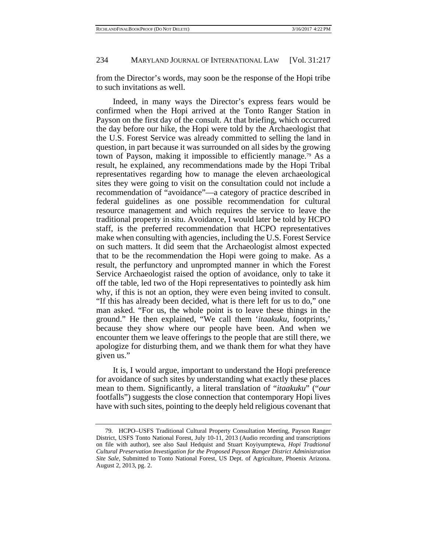from the Director's words, may soon be the response of the Hopi tribe to such invitations as well.

Indeed, in many ways the Director's express fears would be confirmed when the Hopi arrived at the Tonto Ranger Station in Payson on the first day of the consult. At that briefing, which occurred the day before our hike, the Hopi were told by the Archaeologist that the U.S. Forest Service was already committed to selling the land in question, in part because it was surrounded on all sides by the growing town of Payson, making it impossible to efficiently manage.79 As a result, he explained, any recommendations made by the Hopi Tribal representatives regarding how to manage the eleven archaeological sites they were going to visit on the consultation could not include a recommendation of "avoidance"—a category of practice described in federal guidelines as one possible recommendation for cultural resource management and which requires the service to leave the traditional property in situ. Avoidance, I would later be told by HCPO staff, is the preferred recommendation that HCPO representatives make when consulting with agencies, including the U.S. Forest Service on such matters. It did seem that the Archaeologist almost expected that to be the recommendation the Hopi were going to make. As a result, the perfunctory and unprompted manner in which the Forest Service Archaeologist raised the option of avoidance, only to take it off the table, led two of the Hopi representatives to pointedly ask him why, if this is not an option, they were even being invited to consult. "If this has already been decided, what is there left for us to do," one man asked. "For us, the whole point is to leave these things in the ground." He then explained, "We call them '*itaakuku,* footprints,' because they show where our people have been. And when we encounter them we leave offerings to the people that are still there, we apologize for disturbing them, and we thank them for what they have given us."

It is, I would argue, important to understand the Hopi preference for avoidance of such sites by understanding what exactly these places mean to them. Significantly, a literal translation of "*itaakuku*" ("*our*  footfalls") suggests the close connection that contemporary Hopi lives have with such sites, pointing to the deeply held religious covenant that

 <sup>79.</sup> HCPO–USFS Traditional Cultural Property Consultation Meeting, Payson Ranger District, USFS Tonto National Forest, July 10-11, 2013 (Audio recording and transcriptions on file with author), see also Saul Hedquist and Stuart Koyiyumptewa, *Hopi Tradtional Cultural Preservation Investigation for the Proposed Payson Ranger District Administration Site Sale,* Submitted to Tonto National Forest, US Dept. of Agriculture, Phoenix Arizona. August 2, 2013, pg. 2.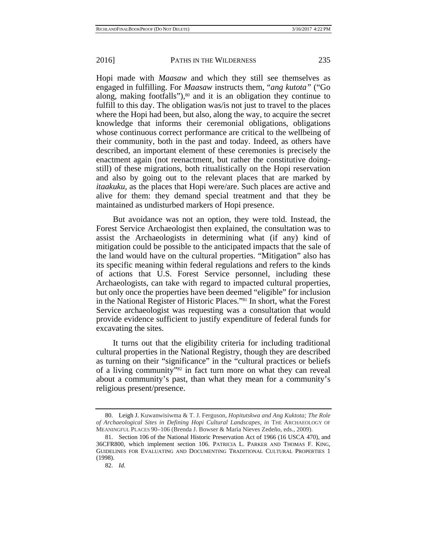Hopi made with *Maasaw* and which they still see themselves as engaged in fulfilling. For *Maasaw* instructs them, "*ang kutota"* ("Go along, making footfalls"), $80$  and it is an obligation they continue to fulfill to this day. The obligation was/is not just to travel to the places where the Hopi had been, but also, along the way, to acquire the secret knowledge that informs their ceremonial obligations, obligations whose continuous correct performance are critical to the wellbeing of their community, both in the past and today. Indeed, as others have described, an important element of these ceremonies is precisely the enactment again (not reenactment, but rather the constitutive doingstill) of these migrations, both ritualistically on the Hopi reservation and also by going out to the relevant places that are marked by *itaakuku,* as the places that Hopi were/are. Such places are active and alive for them: they demand special treatment and that they be maintained as undisturbed markers of Hopi presence.

But avoidance was not an option, they were told. Instead, the Forest Service Archaeologist then explained, the consultation was to assist the Archaeologists in determining what (if any) kind of mitigation could be possible to the anticipated impacts that the sale of the land would have on the cultural properties. "Mitigation" also has its specific meaning within federal regulations and refers to the kinds of actions that U.S. Forest Service personnel, including these Archaeologists, can take with regard to impacted cultural properties, but only once the properties have been deemed "eligible" for inclusion in the National Register of Historic Places."81 In short, what the Forest Service archaeologist was requesting was a consultation that would provide evidence sufficient to justify expenditure of federal funds for excavating the sites.

It turns out that the eligibility criteria for including traditional cultural properties in the National Registry, though they are described as turning on their "significance" in the "cultural practices or beliefs of a living community"82 in fact turn more on what they can reveal about a community's past, than what they mean for a community's religious present/presence.

 <sup>80.</sup> Leigh J. Kuwanwisiwma & T. J. Ferguson, *Hopitutskwa and Ang Kuktota; The Role of Archaeological Sites in Defining Hopi Cultural Landscapes*, *in* THE ARCHAEOLOGY OF MEANINGFUL PLACES 90–106 (Brenda J. Bowser & Marìa Nieves Zedeño, eds., 2009).

 <sup>81.</sup> Section 106 of the National Historic Preservation Act of 1966 (16 USCA 470), and 36CFR800, which implement section 106. PATRICIA L. PARKER AND THOMAS F. KING, GUIDELINES FOR EVALUATING AND DOCUMENTING TRADITIONAL CULTURAL PROPERTIES 1 (1998).

 <sup>82.</sup> *Id.*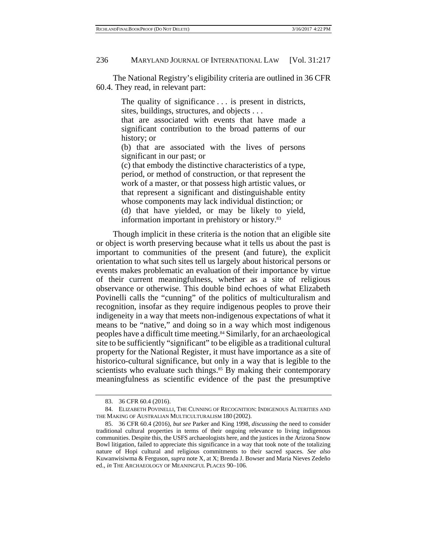The National Registry's eligibility criteria are outlined in 36 CFR 60.4. They read, in relevant part:

> The quality of significance . . . is present in districts, sites, buildings, structures, and objects . . .

> that are associated with events that have made a significant contribution to the broad patterns of our history; or

> (b) that are associated with the lives of persons significant in our past; or

> (c) that embody the distinctive characteristics of a type, period, or method of construction, or that represent the work of a master, or that possess high artistic values, or that represent a significant and distinguishable entity whose components may lack individual distinction; or (d) that have yielded, or may be likely to yield, information important in prehistory or history.<sup>83</sup>

Though implicit in these criteria is the notion that an eligible site or object is worth preserving because what it tells us about the past is important to communities of the present (and future), the explicit orientation to what such sites tell us largely about historical persons or events makes problematic an evaluation of their importance by virtue of their current meaningfulness, whether as a site of religious observance or otherwise. This double bind echoes of what Elizabeth Povinelli calls the "cunning" of the politics of multiculturalism and recognition, insofar as they require indigenous peoples to prove their indigeneity in a way that meets non-indigenous expectations of what it means to be "native," and doing so in a way which most indigenous peoples have a difficult time meeting.84 Similarly, for an archaeological site to be sufficiently "significant" to be eligible as a traditional cultural property for the National Register, it must have importance as a site of historico-cultural significance, but only in a way that is legible to the scientists who evaluate such things.<sup>85</sup> By making their contemporary meaningfulness as scientific evidence of the past the presumptive

 <sup>83. 36</sup> CFR 60.4 (2016).

 <sup>84.</sup> ELIZABETH POVINELLI, THE CUNNING OF RECOGNITION: INDIGENOUS ALTERITIES AND THE MAKING OF AUSTRALIAN MULTICULTURALISM 180 (2002).

 <sup>85. 36</sup> CFR 60.4 (2016), *but see* Parker and King 1998, *discussing* the need to consider traditional cultural properties in terms of their ongoing relevance to living indigenous communities. Despite this, the USFS archaeologists here, and the justices in the Arizona Snow Bowl litigation, failed to appreciate this significance in a way that took note of the totalizing nature of Hopi cultural and religious commitments to their sacred spaces. *See also* Kuwanwisiwma & Ferguson, *supra* note X, at X; Brenda J. Bowser and Maria Nieves Zedeño ed., *in* THE ARCHAEOLOGY OF MEANINGFUL PLACES 90–106.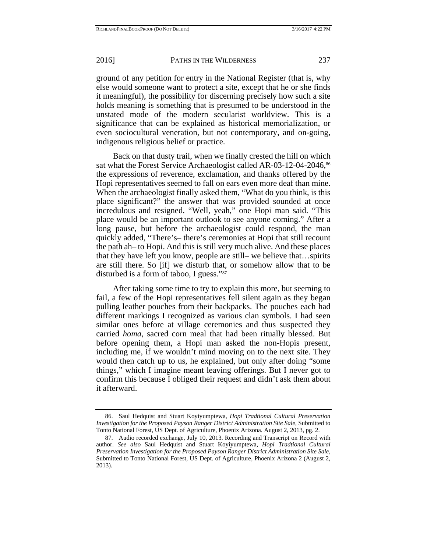ground of any petition for entry in the National Register (that is, why else would someone want to protect a site, except that he or she finds it meaningful), the possibility for discerning precisely how such a site holds meaning is something that is presumed to be understood in the unstated mode of the modern secularist worldview. This is a significance that can be explained as historical memorialization, or even sociocultural veneration, but not contemporary, and on-going, indigenous religious belief or practice.

Back on that dusty trail, when we finally crested the hill on which sat what the Forest Service Archaeologist called AR-03-12-04-2046,<sup>86</sup> the expressions of reverence, exclamation, and thanks offered by the Hopi representatives seemed to fall on ears even more deaf than mine. When the archaeologist finally asked them, "What do you think, is this place significant?" the answer that was provided sounded at once incredulous and resigned. "Well, yeah," one Hopi man said. "This place would be an important outlook to see anyone coming." After a long pause, but before the archaeologist could respond, the man quickly added, "There's– there's ceremonies at Hopi that still recount the path ah– to Hopi. And this is still very much alive. And these places that they have left you know, people are still– we believe that…spirits are still there. So [if] we disturb that, or somehow allow that to be disturbed is a form of taboo, I guess."87

After taking some time to try to explain this more, but seeming to fail, a few of the Hopi representatives fell silent again as they began pulling leather pouches from their backpacks. The pouches each had different markings I recognized as various clan symbols. I had seen similar ones before at village ceremonies and thus suspected they carried *homa*, sacred corn meal that had been ritually blessed. But before opening them, a Hopi man asked the non-Hopis present, including me, if we wouldn't mind moving on to the next site. They would then catch up to us, he explained, but only after doing "some things," which I imagine meant leaving offerings. But I never got to confirm this because I obliged their request and didn't ask them about it afterward.

 <sup>86.</sup> Saul Hedquist and Stuart Koyiyumptewa, *Hopi Tradtional Cultural Preservation Investigation for the Proposed Payson Ranger District Administration Site Sale,* Submitted to Tonto National Forest, US Dept. of Agriculture, Phoenix Arizona. August 2, 2013, pg. 2.

 <sup>87.</sup> Audio recorded exchange, July 10, 2013. Recording and Transcript on Record with author. *See also* Saul Hedquist and Stuart Koyiyumptewa, *Hopi Tradtional Cultural Preservation Investigation for the Proposed Payson Ranger District Administration Site Sale,* Submitted to Tonto National Forest, US Dept. of Agriculture, Phoenix Arizona 2 (August 2, 2013).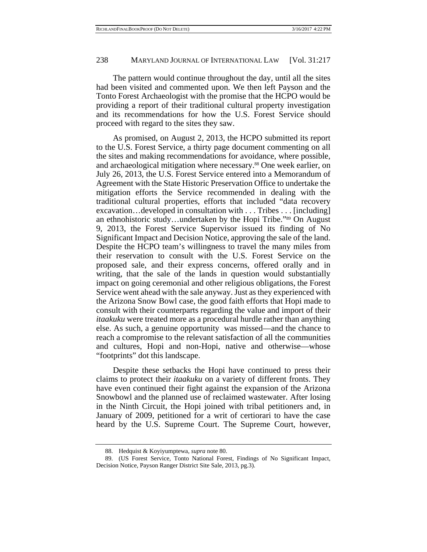The pattern would continue throughout the day, until all the sites had been visited and commented upon. We then left Payson and the Tonto Forest Archaeologist with the promise that the HCPO would be providing a report of their traditional cultural property investigation and its recommendations for how the U.S. Forest Service should proceed with regard to the sites they saw.

As promised, on August 2, 2013, the HCPO submitted its report to the U.S. Forest Service, a thirty page document commenting on all the sites and making recommendations for avoidance, where possible, and archaeological mitigation where necessary.88 One week earlier, on July 26, 2013, the U.S. Forest Service entered into a Memorandum of Agreement with the State Historic Preservation Office to undertake the mitigation efforts the Service recommended in dealing with the traditional cultural properties, efforts that included "data recovery excavation…developed in consultation with . . . Tribes . . . [including] an ethnohistoric study…undertaken by the Hopi Tribe."89 On August 9, 2013, the Forest Service Supervisor issued its finding of No Significant Impact and Decision Notice, approving the sale of the land. Despite the HCPO team's willingness to travel the many miles from their reservation to consult with the U.S. Forest Service on the proposed sale, and their express concerns, offered orally and in writing, that the sale of the lands in question would substantially impact on going ceremonial and other religious obligations, the Forest Service went ahead with the sale anyway. Just as they experienced with the Arizona Snow Bowl case, the good faith efforts that Hopi made to consult with their counterparts regarding the value and import of their *itaakuku* were treated more as a procedural hurdle rather than anything else. As such, a genuine opportunity was missed—and the chance to reach a compromise to the relevant satisfaction of all the communities and cultures, Hopi and non-Hopi, native and otherwise—whose "footprints" dot this landscape.

Despite these setbacks the Hopi have continued to press their claims to protect their *itaakuku* on a variety of different fronts. They have even continued their fight against the expansion of the Arizona Snowbowl and the planned use of reclaimed wastewater. After losing in the Ninth Circuit, the Hopi joined with tribal petitioners and, in January of 2009, petitioned for a writ of certiorari to have the case heard by the U.S. Supreme Court. The Supreme Court, however,

 <sup>88.</sup> Hedquist & Koyiyumptewa, *supra* note 80.

 <sup>89. (</sup>US Forest Service, Tonto National Forest, Findings of No Significant Impact, Decision Notice, Payson Ranger District Site Sale, 2013, pg.3).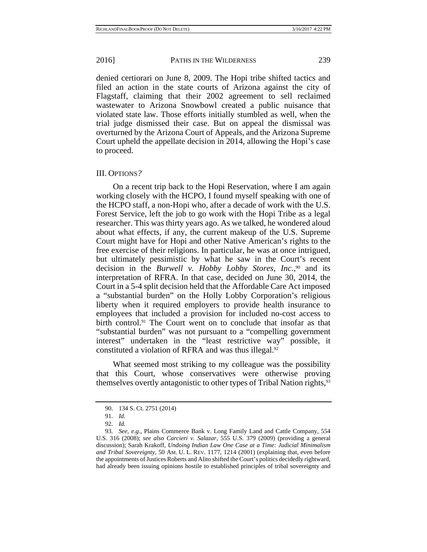denied certiorari on June 8, 2009. The Hopi tribe shifted tactics and filed an action in the state courts of Arizona against the city of Flagstaff, claiming that their 2002 agreement to sell reclaimed wastewater to Arizona Snowbowl created a public nuisance that violated state law. Those efforts initially stumbled as well, when the trial judge dismissed their case. But on appeal the dismissal was overturned by the Arizona Court of Appeals, and the Arizona Supreme Court upheld the appellate decision in 2014, allowing the Hopi's case to proceed.

### III. OPTIONS*?*

On a recent trip back to the Hopi Reservation, where I am again working closely with the HCPO, I found myself speaking with one of the HCPO staff, a non-Hopi who, after a decade of work with the U.S. Forest Service, left the job to go work with the Hopi Tribe as a legal researcher. This was thirty years ago. As we talked, he wondered aloud about what effects, if any, the current makeup of the U.S. Supreme Court might have for Hopi and other Native American's rights to the free exercise of their religions. In particular, he was at once intrigued, but ultimately pessimistic by what he saw in the Court's recent decision in the *Burwell v. Hobby Lobby Stores, Inc.*, <sup>90</sup> and its interpretation of RFRA. In that case, decided on June 30, 2014, the Court in a 5-4 split decision held that the Affordable Care Act imposed a "substantial burden" on the Holly Lobby Corporation's religious liberty when it required employers to provide health insurance to employees that included a provision for included no-cost access to birth control.91 The Court went on to conclude that insofar as that "substantial burden" was not pursuant to a "compelling government interest" undertaken in the "least restrictive way" possible, it constituted a violation of RFRA and was thus illegal.<sup>92</sup>

What seemed most striking to my colleague was the possibility that this Court, whose conservatives were otherwise proving themselves overtly antagonistic to other types of Tribal Nation rights,<sup>93</sup>

 <sup>90. 134</sup> S. Ct. 2751 (2014)

 <sup>91.</sup> *Id*.

 <sup>92.</sup> *Id.*

 <sup>93.</sup> *See, e.g.*, Plains Commerce Bank v. Long Family Land and Cattle Company*,* 554 U.S. 316 (2008); *see also Carcieri v. Salazar,* 555 U.S. 379 (2009) (providing a general discussion); Sarah Krakoff, *Undoing Indian Law One Case at a Time: Judicial Minimalism and Tribal Sovereignty,* 50 AM. U. L. REV. 1177, 1214 (2001) (explaining that, even before the appointments of Justices Roberts and Alito shifted the Court's politics decidedly rightward, had already been issuing opinions hostile to established principles of tribal sovereignty and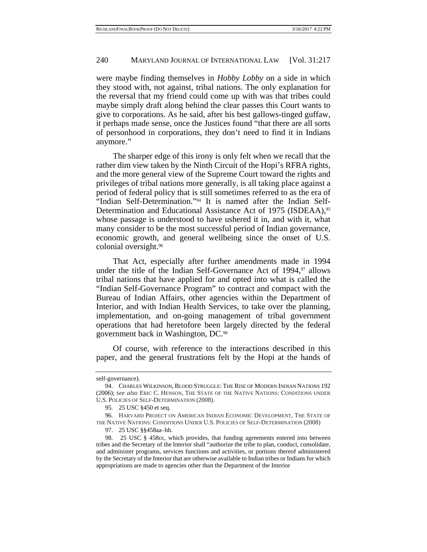were maybe finding themselves in *Hobby Lobby* on a side in which they stood with, not against, tribal nations. The only explanation for the reversal that my friend could come up with was that tribes could maybe simply draft along behind the clear passes this Court wants to give to corporations. As he said, after his best gallows-tinged guffaw, it perhaps made sense, once the Justices found "that there are all sorts of personhood in corporations, they don't need to find it in Indians anymore."

The sharper edge of this irony is only felt when we recall that the rather dim view taken by the Ninth Circuit of the Hopi's RFRA rights, and the more general view of the Supreme Court toward the rights and privileges of tribal nations more generally, is all taking place against a period of federal policy that is still sometimes referred to as the era of "Indian Self-Determination."94 It is named after the Indian Self-Determination and Educational Assistance Act of 1975 (ISDEAA),<sup>95</sup> whose passage is understood to have ushered it in, and with it, what many consider to be the most successful period of Indian governance, economic growth, and general wellbeing since the onset of U.S. colonial oversight.96

That Act, especially after further amendments made in 1994 under the title of the Indian Self-Governance Act of  $1994$ ,<sup>97</sup> allows tribal nations that have applied for and opted into what is called the "Indian Self-Governance Program" to contract and compact with the Bureau of Indian Affairs, other agencies within the Department of Interior, and with Indian Health Services, to take over the planning, implementation, and on-going management of tribal government operations that had heretofore been largely directed by the federal government back in Washington, DC.98

Of course, with reference to the interactions described in this paper, and the general frustrations felt by the Hopi at the hands of

self-governance).

 <sup>94.</sup> CHARLES WILKINSON, BLOOD STRUGGLE: THE RISE OF MODERN INDIAN NATIONS 192 (2006); S*ee also* ERIC C. HENSON, THE STATE OF THE NATIVE NATIONS: CONDITIONS UNDER U.S. POLICIES OF SELF-DETERMINATION (2008).

 <sup>95. 25</sup> USC §450 et seq.

 <sup>96.</sup> HARVARD PROJECT ON AMERICAN INDIAN ECONOMIC DEVELOPMENT, THE STATE OF THE NATIVE NATIONS: CONDITIONS UNDER U.S. POLICIES OF SELF-DETERMINATION (2008)

 <sup>97. 25</sup> USC §§458aa–hh.

 <sup>98. 25</sup> USC § 458cc, which provides, that funding agreements entered into between tribes and the Secretary of the Interior shall "authorize the tribe to plan, conduct, consolidate, and administer programs, services functions and activities, or portions thereof administered by the Secretary of the Interior that are otherwise available to Indian tribes or Indians for which appropriations are made to agencies other than the Department of the Interior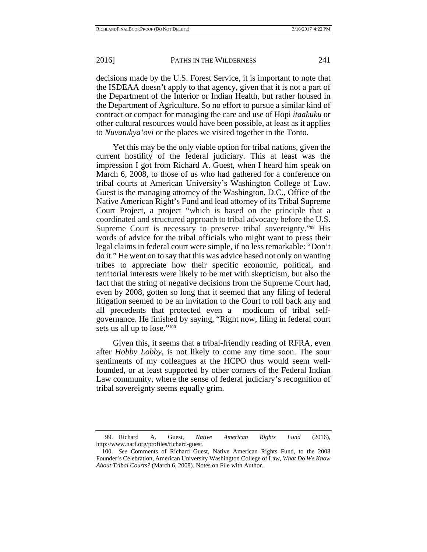decisions made by the U.S. Forest Service, it is important to note that the ISDEAA doesn't apply to that agency, given that it is not a part of the Department of the Interior or Indian Health, but rather housed in the Department of Agriculture. So no effort to pursue a similar kind of contract or compact for managing the care and use of Hopi *itaakuku* or other cultural resources would have been possible, at least as it applies to *Nuvatukya'ovi* or the places we visited together in the Tonto.

Yet this may be the only viable option for tribal nations, given the current hostility of the federal judiciary. This at least was the impression I got from Richard A. Guest, when I heard him speak on March 6, 2008, to those of us who had gathered for a conference on tribal courts at American University's Washington College of Law. Guest is the managing attorney of the Washington, D.C., Office of the Native American Right's Fund and lead attorney of its Tribal Supreme Court Project, a project "which is based on the principle that a coordinated and structured approach to tribal advocacy before the U.S. Supreme Court is necessary to preserve tribal sovereignty."<sup>99</sup> His words of advice for the tribal officials who might want to press their legal claims in federal court were simple, if no less remarkable: "Don't do it." He went on to say that this was advice based not only on wanting tribes to appreciate how their specific economic, political, and territorial interests were likely to be met with skepticism, but also the fact that the string of negative decisions from the Supreme Court had, even by 2008, gotten so long that it seemed that any filing of federal litigation seemed to be an invitation to the Court to roll back any and all precedents that protected even a modicum of tribal selfgovernance. He finished by saying, "Right now, filing in federal court sets us all up to lose."<sup>100</sup>

Given this, it seems that a tribal-friendly reading of RFRA, even after *Hobby Lobby,* is not likely to come any time soon. The sour sentiments of my colleagues at the HCPO thus would seem wellfounded, or at least supported by other corners of the Federal Indian Law community, where the sense of federal judiciary's recognition of tribal sovereignty seems equally grim.

 <sup>99.</sup> Richard A. Guest, *Native American Rights Fund* (2016), http://www.narf.org/profiles/richard-guest.

 <sup>100.</sup> *See* Comments of Richard Guest, Native American Rights Fund, to the 2008 Founder's Celebration, American University Washington College of Law, *What Do We Know About Tribal Courts?* (March 6, 2008). Notes on File with Author.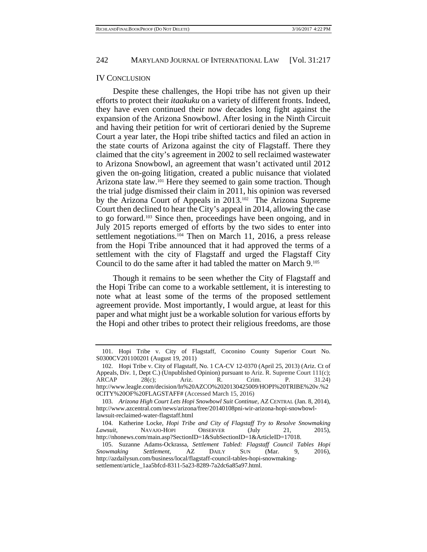### IV CONCLUSION

Despite these challenges, the Hopi tribe has not given up their efforts to protect their *itaakuku* on a variety of different fronts. Indeed, they have even continued their now decades long fight against the expansion of the Arizona Snowbowl. After losing in the Ninth Circuit and having their petition for writ of certiorari denied by the Supreme Court a year later, the Hopi tribe shifted tactics and filed an action in the state courts of Arizona against the city of Flagstaff. There they claimed that the city's agreement in 2002 to sell reclaimed wastewater to Arizona Snowbowl, an agreement that wasn't activated until 2012 given the on-going litigation, created a public nuisance that violated Arizona state law.101 Here they seemed to gain some traction. Though the trial judge dismissed their claim in 2011, his opinion was reversed by the Arizona Court of Appeals in 2013.102 The Arizona Supreme Court then declined to hear the City's appeal in 2014, allowing the case to go forward.103 Since then, proceedings have been ongoing, and in July 2015 reports emerged of efforts by the two sides to enter into settlement negotiations.<sup>104</sup> Then on March 11, 2016, a press release from the Hopi Tribe announced that it had approved the terms of a settlement with the city of Flagstaff and urged the Flagstaff City Council to do the same after it had tabled the matter on March 9.105

Though it remains to be seen whether the City of Flagstaff and the Hopi Tribe can come to a workable settlement, it is interesting to note what at least some of the terms of the proposed settlement agreement provide. Most importantly, I would argue, at least for this paper and what might just be a workable solution for various efforts by the Hopi and other tribes to protect their religious freedoms, are those

 <sup>101.</sup> Hopi Tribe v. City of Flagstaff, Coconino County Superior Court No. S0300CV201100201 (August 19, 2011)

 <sup>102.</sup> Hopi Tribe v. City of Flagstaff, No. 1 CA-CV 12-0370 (April 25, 2013) (Ariz. Ct of Appeals, Div. 1, Dept C.) (Unpublished Opinion) pursuant to Ariz. R. Supreme Court 111(c); ARCAP 28(c); Ariz. R. Crim. P. 31.24) http://www.leagle.com/decision/In%20AZCO%2020130425009/HOPI%20TRIBE%20v.%2 0CITY%20OF%20FLAGSTAFF# (Accessed March 15, 2016)

 <sup>103.</sup> *Arizona High Court Lets Hopi Snowbowl Suit Continue,* AZ CENTRAL (Jan. 8, 2014), http://www.azcentral.com/news/arizona/free/20140108pni-wir-arizona-hopi-snowbowllawsuit-reclaimed-water-flagstaff.html

 <sup>104.</sup> Katherine Locke, *Hopi Tribe and City of Flagstaff Try to Resolve Snowmaking Lawsuit*, NAVAJO-HOPI OBSERVER (July 21, 2015), http://nhonews.com/main.asp?SectionID=1&SubSectionID=1&ArticleID=17018.

 <sup>105.</sup> Suzanne Adams-Ockrassa, *Settlement Tabled: Flagstaff Council Tables Hopi Snowmaking Settlement,* AZ DAILY SUN (Mar. 9, 2016), http://azdailysun.com/business/local/flagstaff-council-tables-hopi-snowmakingsettlement/article\_1aa5bfcd-8311-5a23-8289-7a2dc6a85a97.html.